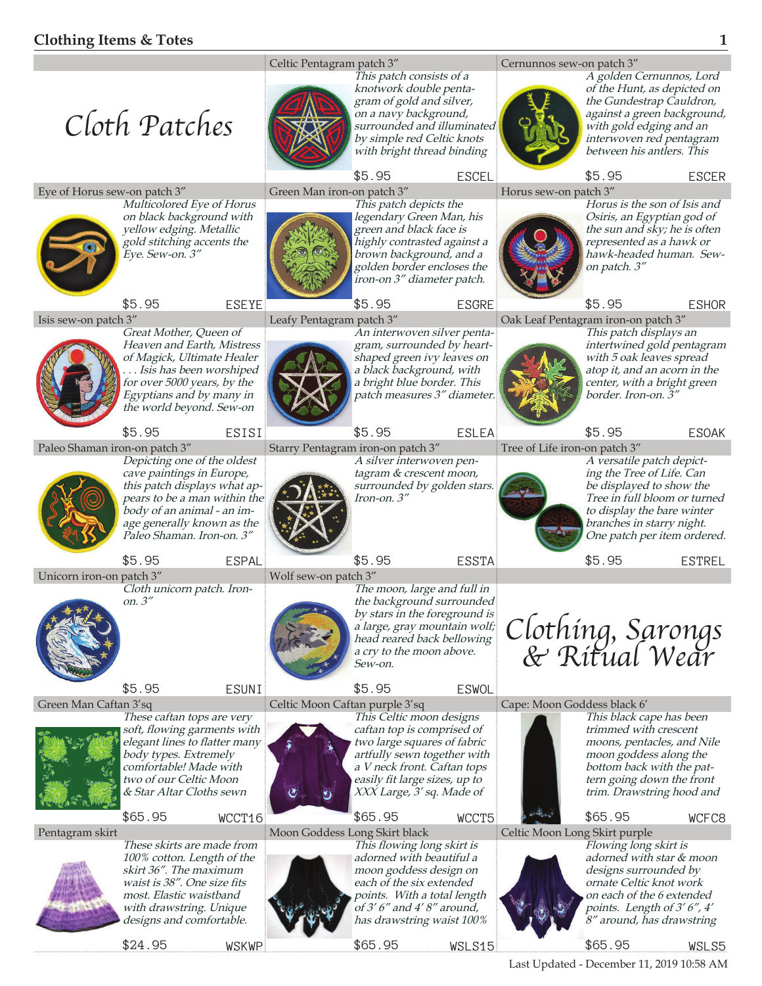

Last Updated - December 11, 2019 10:58 AM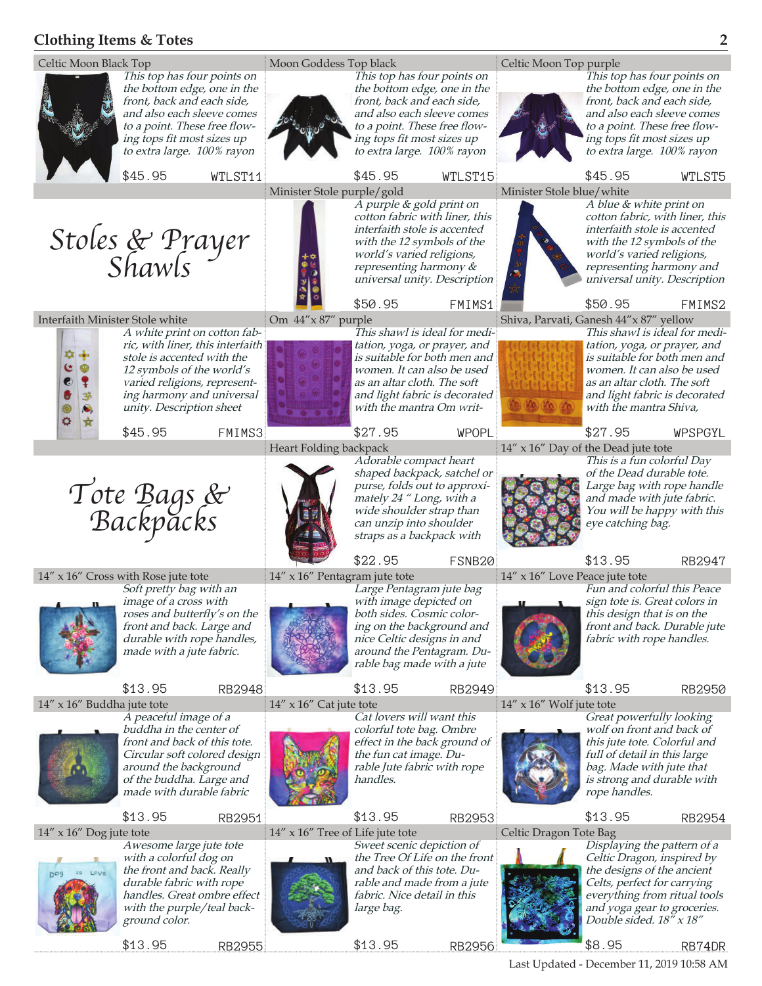## **Clothing Items & Totes 2**

\$13.95 RB2955



\$13.95 RB2956

\$8.95 RB74DR

Last Updated - December 11, 2019 10:58 AM